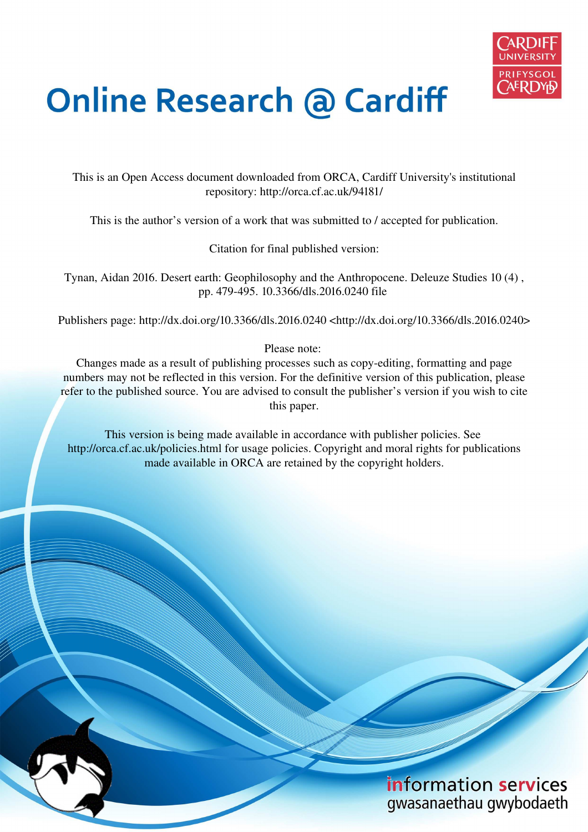

# **Online Research @ Cardiff**

This is an Open Access document downloaded from ORCA, Cardiff University's institutional repository: http://orca.cf.ac.uk/94181/

This is the author's version of a work that was submitted to / accepted for publication.

Citation for final published version:

Tynan, Aidan 2016. Desert earth: Geophilosophy and the Anthropocene. Deleuze Studies 10 (4) , pp. 479-495. 10.3366/dls.2016.0240 file

Publishers page: http://dx.doi.org/10.3366/dls.2016.0240 <http://dx.doi.org/10.3366/dls.2016.0240>

Please note:

Changes made as a result of publishing processes such as copy-editing, formatting and page numbers may not be reflected in this version. For the definitive version of this publication, please refer to the published source. You are advised to consult the publisher's version if you wish to cite this paper.

This version is being made available in accordance with publisher policies. See http://orca.cf.ac.uk/policies.html for usage policies. Copyright and moral rights for publications made available in ORCA are retained by the copyright holders.

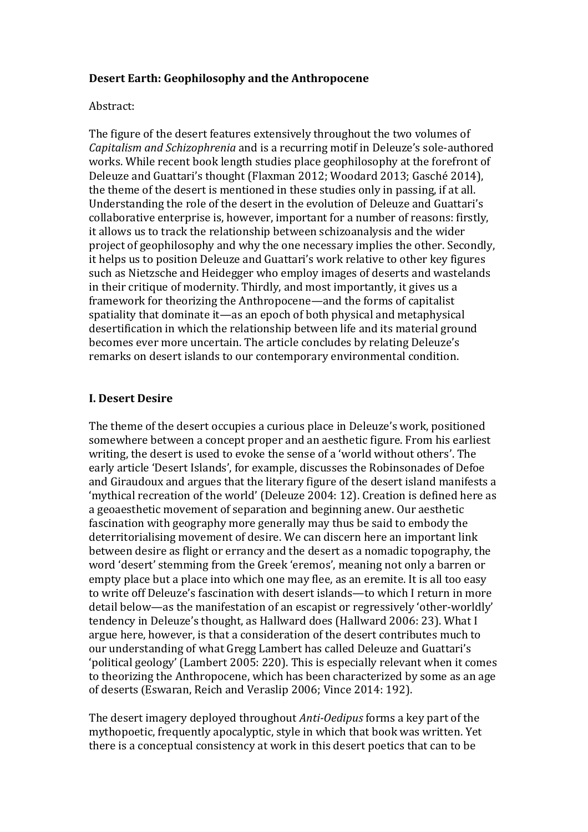## **Desert Earth: Geophilosophy and the Anthropocene**

#### Abstract:

The figure of the desert features extensively throughout the two volumes of *Capitalism and Schizophrenia* and is a recurring motif in Deleuze's sole-authored works. While recent book length studies place geophilosophy at the forefront of Deleuze and Guattari's thought (Flaxman 2012; Woodard 2013; Gasché 2014), the theme of the desert is mentioned in these studies only in passing, if at all. Understanding the role of the desert in the evolution of Deleuze and Guattari's collaborative enterprise is, however, important for a number of reasons: firstly, it allows us to track the relationship between schizoanalysis and the wider project of geophilosophy and why the one necessary implies the other. Secondly, it helps us to position Deleuze and Guattari's work relative to other key figures such as Nietzsche and Heidegger who employ images of deserts and wastelands in their critique of modernity. Thirdly, and most importantly, it gives us a framework for theorizing the Anthropocene—and the forms of capitalist spatiality that dominate it—as an epoch of both physical and metaphysical desertification in which the relationship between life and its material ground becomes ever more uncertain. The article concludes by relating Deleuze's remarks on desert islands to our contemporary environmental condition.

## **I. Desert Desire**

The theme of the desert occupies a curious place in Deleuze's work, positioned somewhere between a concept proper and an aesthetic figure. From his earliest writing, the desert is used to evoke the sense of a 'world without others'. The early article 'Desert Islands', for example, discusses the Robinsonades of Defoe and Giraudoux and argues that the literary figure of the desert island manifests a 'mythical recreation of the world' (Deleuze 2004: 12). Creation is defined here as a geoaesthetic movement of separation and beginning anew. Our aesthetic fascination with geography more generally may thus be said to embody the deterritorialising movement of desire. We can discern here an important link between desire as flight or errancy and the desert as a nomadic topography, the word 'desert' stemming from the Greek 'eremos', meaning not only a barren or empty place but a place into which one may flee, as an eremite. It is all too easy to write off Deleuze's fascination with desert islands—to which I return in more detail below—as the manifestation of an escapist or regressively 'other-worldly' tendency in Deleuze's thought, as Hallward does (Hallward 2006: 23). What I argue here, however, is that a consideration of the desert contributes much to our understanding of what Gregg Lambert has called Deleuze and Guattariǯs Ǯpolitical geologyǯ (Lambert 2005: 220). This is especially relevant when it comes to theorizing the Anthropocene, which has been characterized by some as an age of deserts (Eswaran, Reich and Veraslip 2006; Vince 2014: 192).

The desert imagery deployed throughout *Anti-Oedipus* forms a key part of the mythopoetic, frequently apocalyptic, style in which that book was written. Yet there is a conceptual consistency at work in this desert poetics that can to be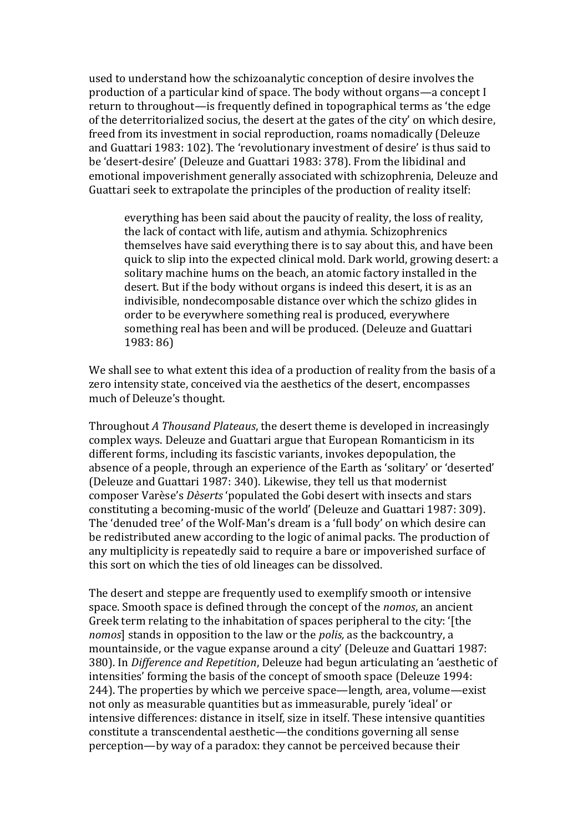used to understand how the schizoanalytic conception of desire involves the production of a particular kind of space. The body without organs—a concept I return to throughout—is frequently defined in topographical terms as 'the edge of the deterritorialized socius, the desert at the gates of the city' on which desire, freed from its investment in social reproduction, roams nomadically (Deleuze and Guattari 1983: 102). The 'revolutionary investment of desire' is thus said to be 'desert-desire' (Deleuze and Guattari 1983: 378). From the libidinal and emotional impoverishment generally associated with schizophrenia, Deleuze and Guattari seek to extrapolate the principles of the production of reality itself:

everything has been said about the paucity of reality, the loss of reality, the lack of contact with life, autism and athymia. Schizophrenics themselves have said everything there is to say about this, and have been quick to slip into the expected clinical mold. Dark world, growing desert: a solitary machine hums on the beach, an atomic factory installed in the desert. But if the body without organs is indeed this desert, it is as an indivisible, nondecomposable distance over which the schizo glides in order to be everywhere something real is produced, everywhere something real has been and will be produced. (Deleuze and Guattari 1983: 86)

We shall see to what extent this idea of a production of reality from the basis of a zero intensity state, conceived via the aesthetics of the desert, encompasses much of Deleuze's thought.

Throughout *A Thousand Plateaus*, the desert theme is developed in increasingly complex ways. Deleuze and Guattari argue that European Romanticism in its different forms, including its fascistic variants, invokes depopulation, the absence of a people, through an experience of the Earth as 'solitary' or 'deserted' (Deleuze and Guattari 1987: 340). Likewise, they tell us that modernist composer Varèse's *Dèserts* 'populated the Gobi desert with insects and stars constituting a becoming-music of the world' (Deleuze and Guattari 1987: 309). The 'denuded tree' of the Wolf-Man's dream is a 'full body' on which desire can be redistributed anew according to the logic of animal packs. The production of any multiplicity is repeatedly said to require a bare or impoverished surface of this sort on which the ties of old lineages can be dissolved.

The desert and steppe are frequently used to exemplify smooth or intensive space. Smooth space is defined through the concept of the *nomos*, an ancient Greek term relating to the inhabitation of spaces peripheral to the city: '[the *nomos*] stands in opposition to the law or the *polis,* as the backcountry, a mountainside, or the vague expanse around a city' (Deleuze and Guattari 1987: 380). In *Difference and Repetition*, Deleuze had begun articulating an Ǯaesthetic of intensities' forming the basis of the concept of smooth space (Deleuze 1994: 244). The properties by which we perceive space—length, area, volume—exist not only as measurable quantities but as immeasurable, purely 'ideal' or intensive differences: distance in itself, size in itself. These intensive quantities constitute a transcendental aesthetic—the conditions governing all sense perception—by way of a paradox: they cannot be perceived because their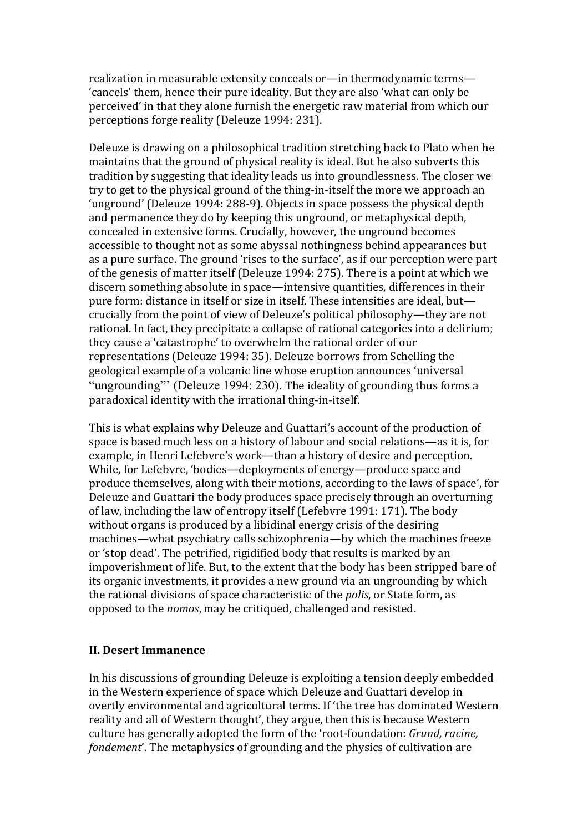realization in measurable extensity conceals or—in thermodynamic terms— 'cancels' them, hence their pure ideality. But they are also 'what can only be perceived' in that they alone furnish the energetic raw material from which our perceptions forge reality (Deleuze 1994: 231).

Deleuze is drawing on a philosophical tradition stretching back to Plato when he maintains that the ground of physical reality is ideal. But he also subverts this tradition by suggesting that ideality leads us into groundlessness. The closer we try to get to the physical ground of the thing-in-itself the more we approach an 'unground' (Deleuze 1994: 288-9). Objects in space possess the physical depth and permanence they do by keeping this unground, or metaphysical depth, concealed in extensive forms. Crucially, however, the unground becomes accessible to thought not as some abyssal nothingness behind appearances but as a pure surface. The ground 'rises to the surface', as if our perception were part of the genesis of matter itself (Deleuze 1994: 275). There is a point at which we discern something absolute in space—intensive quantities, differences in their pure form: distance in itself or size in itself. These intensities are ideal, but crucially from the point of view of Deleuze's political philosophy—they are not rational. In fact, they precipitate a collapse of rational categories into a delirium; they cause a 'catastrophe' to overwhelm the rational order of our representations (Deleuze 1994: 35). Deleuze borrows from Schelling the geological example of a volcanic line whose eruption announces 'universal "ungrounding"' (Deleuze 1994: 230). The ideality of grounding thus forms a paradoxical identity with the irrational thing-in-itself.

This is what explains why Deleuze and Guattari's account of the production of space is based much less on a history of labour and social relations—as it is, for example, in Henri Lefebvre's work—than a history of desire and perception. While, for Lefebvre, 'bodies—deployments of energy—produce space and produce themselves, along with their motions, according to the laws of space', for Deleuze and Guattari the body produces space precisely through an overturning of law, including the law of entropy itself (Lefebvre 1991: 171). The body without organs is produced by a libidinal energy crisis of the desiring machines—what psychiatry calls schizophrenia—by which the machines freeze or 'stop dead'. The petrified, rigidified body that results is marked by an impoverishment of life. But, to the extent that the body has been stripped bare of its organic investments, it provides a new ground via an ungrounding by which the rational divisions of space characteristic of the *polis*, or State form, as opposed to the *nomos*, may be critiqued, challenged and resisted.

## **II. Desert Immanence**

In his discussions of grounding Deleuze is exploiting a tension deeply embedded in the Western experience of space which Deleuze and Guattari develop in overtly environmental and agricultural terms. If 'the tree has dominated Western reality and all of Western thought', they argue, then this is because Western culture has generally adopted the form of the 'root-foundation: *Grund, racine, fondement'*. The metaphysics of grounding and the physics of cultivation are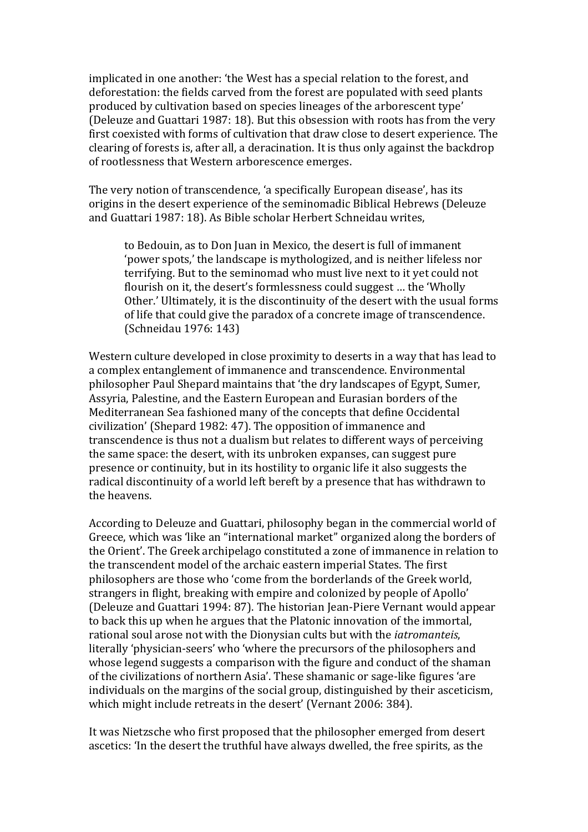implicated in one another: 'the West has a special relation to the forest, and deforestation: the fields carved from the forest are populated with seed plants produced by cultivation based on species lineages of the arborescent type' (Deleuze and Guattari 1987: 18). But this obsession with roots has from the very first coexisted with forms of cultivation that draw close to desert experience. The clearing of forests is, after all, a deracination. It is thus only against the backdrop of rootlessness that Western arborescence emerges.

The very notion of transcendence, 'a specifically European disease', has its origins in the desert experience of the seminomadic Biblical Hebrews (Deleuze and Guattari 1987: 18). As Bible scholar Herbert Schneidau writes,

to Bedouin, as to Don Juan in Mexico, the desert is full of immanent Ǯpower spots,ǯ the landscape is mythologized, and is neither lifeless nor terrifying. But to the seminomad who must live next to it yet could not flourish on it, the desert's formlessness could suggest ... the 'Wholly' Other.' Ultimately, it is the discontinuity of the desert with the usual forms of life that could give the paradox of a concrete image of transcendence. (Schneidau 1976: 143)

Western culture developed in close proximity to deserts in a way that has lead to a complex entanglement of immanence and transcendence. Environmental philosopher Paul Shepard maintains that 'the dry landscapes of Egypt, Sumer, Assyria, Palestine, and the Eastern European and Eurasian borders of the Mediterranean Sea fashioned many of the concepts that define Occidental civilization' (Shepard 1982: 47). The opposition of immanence and transcendence is thus not a dualism but relates to different ways of perceiving the same space: the desert, with its unbroken expanses, can suggest pure presence or continuity, but in its hostility to organic life it also suggests the radical discontinuity of a world left bereft by a presence that has withdrawn to the heavens.

According to Deleuze and Guattari, philosophy began in the commercial world of Greece, which was 'like an "international market" organized along the borders of the Orient'. The Greek archipelago constituted a zone of immanence in relation to the transcendent model of the archaic eastern imperial States. The first philosophers are those who 'come from the borderlands of the Greek world, strangers in flight, breaking with empire and colonized by people of Apollo' (Deleuze and Guattari 1994: 87). The historian Jean-Piere Vernant would appear to back this up when he argues that the Platonic innovation of the immortal, rational soul arose not with the Dionysian cults but with the *iatromanteis*, literally 'physician-seers' who 'where the precursors of the philosophers and whose legend suggests a comparison with the figure and conduct of the shaman of the civilizations of northern Asia'. These shamanic or sage-like figures 'are individuals on the margins of the social group, distinguished by their asceticism, which might include retreats in the desert' (Vernant 2006: 384).

It was Nietzsche who first proposed that the philosopher emerged from desert ascetics: 'In the desert the truthful have always dwelled, the free spirits, as the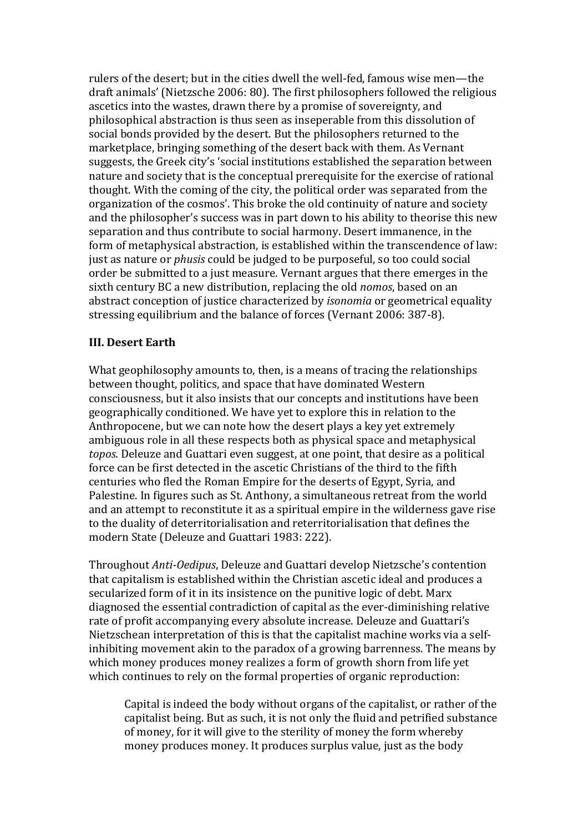rulers of the desert; but in the cities dwell the well-fed, famous wise men—the draft animals' (Nietzsche 2006: 80). The first philosophers followed the religious ascetics into the wastes, drawn there by a promise of sovereignty, and philosophical abstraction is thus seen as inseperable from this dissolution of social bonds provided by the desert. But the philosophers returned to the marketplace, bringing something of the desert back with them. As Vernant suggests, the Greek city's 'social institutions established the separation between nature and society that is the conceptual prerequisite for the exercise of rational thought. With the coming of the city, the political order was separated from the organization of the cosmos'. This broke the old continuity of nature and society and the philosopher's success was in part down to his ability to theorise this new separation and thus contribute to social harmony. Desert immanence, in the form of metaphysical abstraction, is established within the transcendence of law: just as nature or *phusis* could be judged to be purposeful, so too could social order be submitted to a just measure. Vernant argues that there emerges in the sixth century BC a new distribution, replacing the old *nomos*, based on an abstract conception of justice characterized by *isonomia* or geometrical equality stressing equilibrium and the balance of forces (Vernant 2006: 387-8).

## **III. Desert Earth**

What geophilosophy amounts to, then, is a means of tracing the relationships between thought, politics, and space that have dominated Western consciousness, but it also insists that our concepts and institutions have been geographically conditioned. We have yet to explore this in relation to the Anthropocene, but we can note how the desert plays a key yet extremely ambiguous role in all these respects both as physical space and metaphysical *topos*. Deleuze and Guattari even suggest, at one point, that desire as a political force can be first detected in the ascetic Christians of the third to the fifth centuries who fled the Roman Empire for the deserts of Egypt, Syria, and Palestine. In figures such as St. Anthony, a simultaneous retreat from the world and an attempt to reconstitute it as a spiritual empire in the wilderness gave rise to the duality of deterritorialisation and reterritorialisation that defines the modern State (Deleuze and Guattari 1983: 222).

Throughout *Anti-Oedipus*, Deleuze and Guattari develop Nietzscheǯs contention that capitalism is established within the Christian ascetic ideal and produces a secularized form of it in its insistence on the punitive logic of debt. Marx diagnosed the essential contradiction of capital as the ever-diminishing relative rate of profit accompanying every absolute increase. Deleuze and Guattari's Nietzschean interpretation of this is that the capitalist machine works via a selfinhibiting movement akin to the paradox of a growing barrenness. The means by which money produces money realizes a form of growth shorn from life yet which continues to rely on the formal properties of organic reproduction:

Capital is indeed the body without organs of the capitalist, or rather of the capitalist being. But as such, it is not only the fluid and petrified substance of money, for it will give to the sterility of money the form whereby money produces money. It produces surplus value, just as the body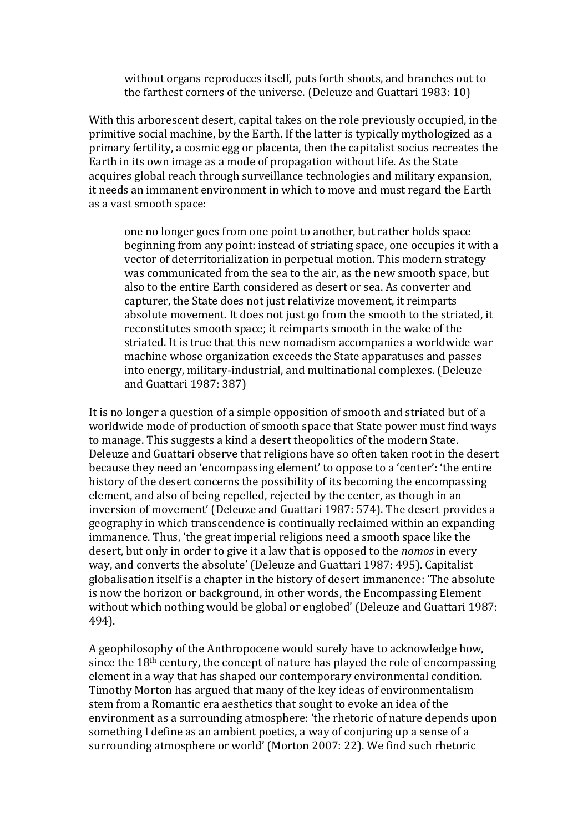without organs reproduces itself, puts forth shoots, and branches out to the farthest corners of the universe. (Deleuze and Guattari 1983: 10)

With this arborescent desert, capital takes on the role previously occupied, in the primitive social machine, by the Earth. If the latter is typically mythologized as a primary fertility, a cosmic egg or placenta, then the capitalist socius recreates the Earth in its own image as a mode of propagation without life. As the State acquires global reach through surveillance technologies and military expansion, it needs an immanent environment in which to move and must regard the Earth as a vast smooth space:

one no longer goes from one point to another, but rather holds space beginning from any point: instead of striating space, one occupies it with a vector of deterritorialization in perpetual motion. This modern strategy was communicated from the sea to the air, as the new smooth space, but also to the entire Earth considered as desert or sea. As converter and capturer, the State does not just relativize movement, it reimparts absolute movement. It does not just go from the smooth to the striated, it reconstitutes smooth space; it reimparts smooth in the wake of the striated. It is true that this new nomadism accompanies a worldwide war machine whose organization exceeds the State apparatuses and passes into energy, military-industrial, and multinational complexes. (Deleuze and Guattari 1987: 387)

It is no longer a question of a simple opposition of smooth and striated but of a worldwide mode of production of smooth space that State power must find ways to manage. This suggests a kind a desert theopolitics of the modern State. Deleuze and Guattari observe that religions have so often taken root in the desert because they need an 'encompassing element' to oppose to a 'center': 'the entire history of the desert concerns the possibility of its becoming the encompassing element, and also of being repelled, rejected by the center, as though in an inversion of movement' (Deleuze and Guattari 1987: 574). The desert provides a geography in which transcendence is continually reclaimed within an expanding immanence. Thus, 'the great imperial religions need a smooth space like the desert, but only in order to give it a law that is opposed to the *nomos* in every way, and converts the absolute' (Deleuze and Guattari 1987: 495). Capitalist globalisation itself is a chapter in the history of desert immanence: 'The absolute is now the horizon or background, in other words, the Encompassing Element without which nothing would be global or englobed' (Deleuze and Guattari 1987: 494).

A geophilosophy of the Anthropocene would surely have to acknowledge how, since the 18th century, the concept of nature has played the role of encompassing element in a way that has shaped our contemporary environmental condition. Timothy Morton has argued that many of the key ideas of environmentalism stem from a Romantic era aesthetics that sought to evoke an idea of the environment as a surrounding atmosphere: 'the rhetoric of nature depends upon something I define as an ambient poetics, a way of conjuring up a sense of a surrounding atmosphere or world' (Morton 2007: 22). We find such rhetoric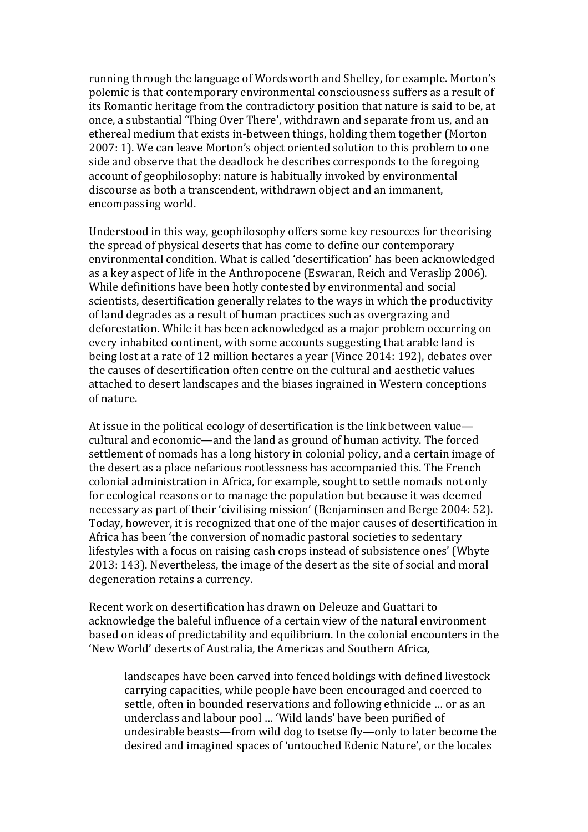running through the language of Wordsworth and Shelley, for example. Morton's polemic is that contemporary environmental consciousness suffers as a result of its Romantic heritage from the contradictory position that nature is said to be, at once, a substantial 'Thing Over There', withdrawn and separate from us, and an ethereal medium that exists in-between things, holding them together (Morton 2007: 1). We can leave Morton's object oriented solution to this problem to one side and observe that the deadlock he describes corresponds to the foregoing account of geophilosophy: nature is habitually invoked by environmental discourse as both a transcendent, withdrawn object and an immanent, encompassing world.

Understood in this way, geophilosophy offers some key resources for theorising the spread of physical deserts that has come to define our contemporary environmental condition. What is called 'desertification' has been acknowledged as a key aspect of life in the Anthropocene (Eswaran, Reich and Veraslip 2006). While definitions have been hotly contested by environmental and social scientists, desertification generally relates to the ways in which the productivity of land degrades as a result of human practices such as overgrazing and deforestation. While it has been acknowledged as a major problem occurring on every inhabited continent, with some accounts suggesting that arable land is being lost at a rate of 12 million hectares a year (Vince 2014: 192), debates over the causes of desertification often centre on the cultural and aesthetic values attached to desert landscapes and the biases ingrained in Western conceptions of nature.

At issue in the political ecology of desertification is the link between value cultural and economic—and the land as ground of human activity. The forced settlement of nomads has a long history in colonial policy, and a certain image of the desert as a place nefarious rootlessness has accompanied this. The French colonial administration in Africa, for example, sought to settle nomads not only for ecological reasons or to manage the population but because it was deemed necessary as part of their 'civilising mission' (Benjaminsen and Berge 2004: 52). Today, however, it is recognized that one of the major causes of desertification in Africa has been 'the conversion of nomadic pastoral societies to sedentary lifestyles with a focus on raising cash crops instead of subsistence ones' (Whyte 2013: 143). Nevertheless, the image of the desert as the site of social and moral degeneration retains a currency.

Recent work on desertification has drawn on Deleuze and Guattari to acknowledge the baleful influence of a certain view of the natural environment based on ideas of predictability and equilibrium. In the colonial encounters in the 'New World' deserts of Australia, the Americas and Southern Africa,

landscapes have been carved into fenced holdings with defined livestock carrying capacities, while people have been encouraged and coerced to settle, often in bounded reservations and following ethnicide … or as an underclass and labour pool ... 'Wild lands' have been purified of undesirable beasts—from wild dog to tsetse fly—only to later become the desired and imagined spaces of 'untouched Edenic Nature', or the locales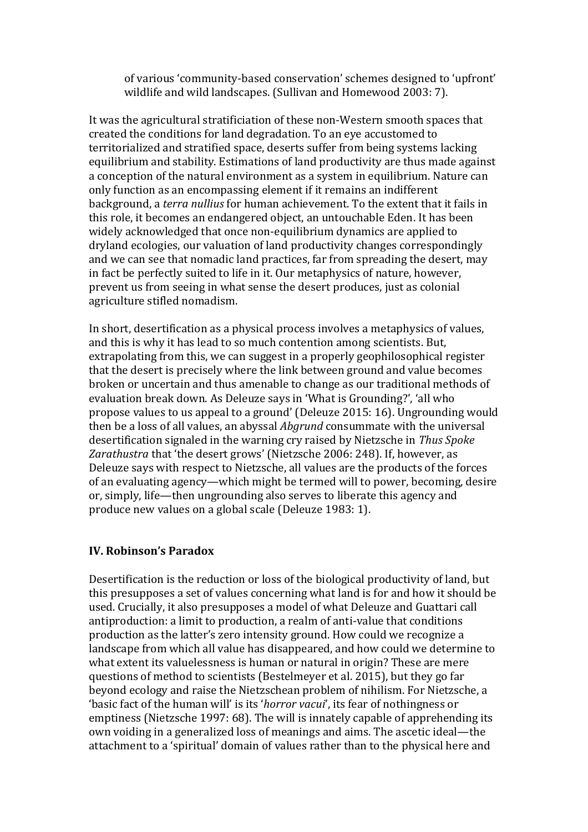of various 'community-based conservation' schemes designed to 'upfront' wildlife and wild landscapes. (Sullivan and Homewood 2003: 7).

It was the agricultural stratificiation of these non-Western smooth spaces that created the conditions for land degradation. To an eye accustomed to territorialized and stratified space, deserts suffer from being systems lacking equilibrium and stability. Estimations of land productivity are thus made against a conception of the natural environment as a system in equilibrium. Nature can only function as an encompassing element if it remains an indifferent background, a *terra nullius* for human achievement. To the extent that it fails in this role, it becomes an endangered object, an untouchable Eden. It has been widely acknowledged that once non-equilibrium dynamics are applied to dryland ecologies, our valuation of land productivity changes correspondingly and we can see that nomadic land practices, far from spreading the desert, may in fact be perfectly suited to life in it. Our metaphysics of nature, however, prevent us from seeing in what sense the desert produces, just as colonial agriculture stifled nomadism.

In short, desertification as a physical process involves a metaphysics of values, and this is why it has lead to so much contention among scientists. But, extrapolating from this, we can suggest in a properly geophilosophical register that the desert is precisely where the link between ground and value becomes broken or uncertain and thus amenable to change as our traditional methods of evaluation break down. As Deleuze says in 'What is Grounding?', 'all who propose values to us appeal to a ground' (Deleuze 2015: 16). Ungrounding would then be a loss of all values, an abyssal *Abgrund* consummate with the universal desertification signaled in the warning cry raised by Nietzsche in *Thus Spoke*  Zarathustra that 'the desert grows' (Nietzsche 2006: 248). If, however, as Deleuze says with respect to Nietzsche, all values are the products of the forces of an evaluating agency—which might be termed will to power, becoming, desire or, simply, life—then ungrounding also serves to liberate this agency and produce new values on a global scale (Deleuze 1983: 1).

## **IV. Robinson's Paradox**

Desertification is the reduction or loss of the biological productivity of land, but this presupposes a set of values concerning what land is for and how it should be used. Crucially, it also presupposes a model of what Deleuze and Guattari call antiproduction: a limit to production, a realm of anti-value that conditions production as the latter's zero intensity ground. How could we recognize a landscape from which all value has disappeared, and how could we determine to what extent its valuelessness is human or natural in origin? These are mere questions of method to scientists (Bestelmeyer et al. 2015), but they go far beyond ecology and raise the Nietzschean problem of nihilism. For Nietzsche, a 'basic fact of the human will' is its 'horror vacui', its fear of nothingness or emptiness (Nietzsche 1997: 68). The will is innately capable of apprehending its own voiding in a generalized loss of meanings and aims. The ascetic ideal—the attachment to a 'spiritual' domain of values rather than to the physical here and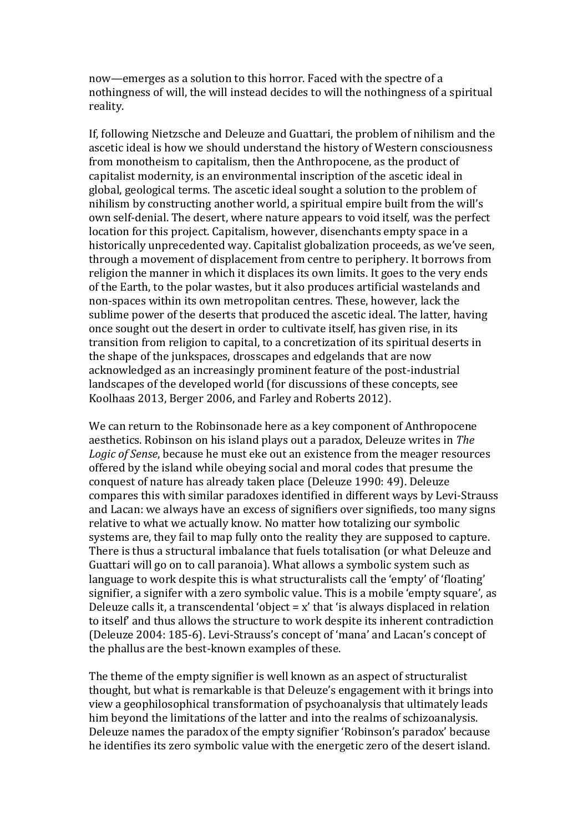now—emerges as a solution to this horror. Faced with the spectre of a nothingness of will, the will instead decides to will the nothingness of a spiritual reality.

If, following Nietzsche and Deleuze and Guattari, the problem of nihilism and the ascetic ideal is how we should understand the history of Western consciousness from monotheism to capitalism, then the Anthropocene, as the product of capitalist modernity, is an environmental inscription of the ascetic ideal in global, geological terms. The ascetic ideal sought a solution to the problem of nihilism by constructing another world, a spiritual empire built from the will's own self-denial. The desert, where nature appears to void itself, was the perfect location for this project. Capitalism, however, disenchants empty space in a historically unprecedented way. Capitalist globalization proceeds, as we've seen, through a movement of displacement from centre to periphery. It borrows from religion the manner in which it displaces its own limits. It goes to the very ends of the Earth, to the polar wastes, but it also produces artificial wastelands and non-spaces within its own metropolitan centres. These, however, lack the sublime power of the deserts that produced the ascetic ideal. The latter, having once sought out the desert in order to cultivate itself, has given rise, in its transition from religion to capital, to a concretization of its spiritual deserts in the shape of the junkspaces, drosscapes and edgelands that are now acknowledged as an increasingly prominent feature of the post-industrial landscapes of the developed world (for discussions of these concepts, see Koolhaas 2013, Berger 2006, and Farley and Roberts 2012).

We can return to the Robinsonade here as a key component of Anthropocene aesthetics. Robinson on his island plays out a paradox, Deleuze writes in *The Logic of Sense*, because he must eke out an existence from the meager resources offered by the island while obeying social and moral codes that presume the conquest of nature has already taken place (Deleuze 1990: 49). Deleuze compares this with similar paradoxes identified in different ways by Levi-Strauss and Lacan: we always have an excess of signifiers over signifieds, too many signs relative to what we actually know. No matter how totalizing our symbolic systems are, they fail to map fully onto the reality they are supposed to capture. There is thus a structural imbalance that fuels totalisation (or what Deleuze and Guattari will go on to call paranoia). What allows a symbolic system such as language to work despite this is what structuralists call the 'empty' of 'floating' signifier, a signifer with a zero symbolic value. This is a mobile 'empty square', as Deleuze calls it, a transcendental 'object =  $x'$  that 'is always displaced in relation to itself and thus allows the structure to work despite its inherent contradiction (Deleuze 2004: 185-6). Levi-Strauss's concept of 'mana' and Lacan's concept of the phallus are the best-known examples of these.

The theme of the empty signifier is well known as an aspect of structuralist thought, but what is remarkable is that Deleuze's engagement with it brings into view a geophilosophical transformation of psychoanalysis that ultimately leads him beyond the limitations of the latter and into the realms of schizoanalysis. Deleuze names the paradox of the empty signifier 'Robinson's paradox' because he identifies its zero symbolic value with the energetic zero of the desert island.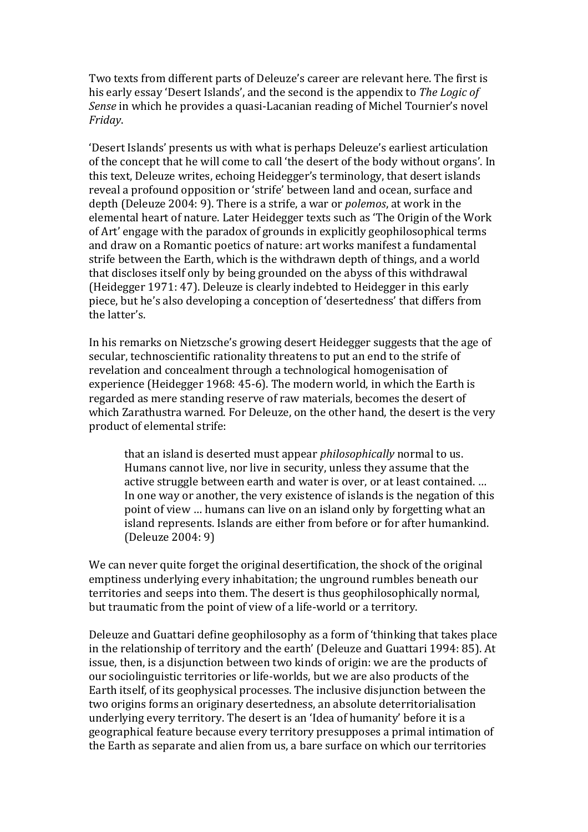Two texts from different parts of Deleuze's career are relevant here. The first is his early essay 'Desert Islands', and the second is the appendix to *The Logic of Sense* in which he provides a quasi-Lacanian reading of Michel Tournier's novel *Friday*.

ǮDesert )slandsǯ presents us with what is perhaps Deleuzeǯs earliest articulation of the concept that he will come to call 'the desert of the body without organs'. In this text, Deleuze writes, echoing Heidegger's terminology, that desert islands reveal a profound opposition or 'strife' between land and ocean, surface and depth (Deleuze 2004: 9). There is a strife, a war or *polemos*, at work in the elemental heart of nature. Later Heidegger texts such as 'The Origin of the Work of Art' engage with the paradox of grounds in explicitly geophilosophical terms and draw on a Romantic poetics of nature: art works manifest a fundamental strife between the Earth, which is the withdrawn depth of things, and a world that discloses itself only by being grounded on the abyss of this withdrawal (Heidegger 1971: 47). Deleuze is clearly indebted to Heidegger in this early piece, but he's also developing a conception of 'desertedness' that differs from the latter's.

In his remarks on Nietzsche's growing desert Heidegger suggests that the age of secular, technoscientific rationality threatens to put an end to the strife of revelation and concealment through a technological homogenisation of experience (Heidegger 1968: 45-6). The modern world, in which the Earth is regarded as mere standing reserve of raw materials, becomes the desert of which Zarathustra warned. For Deleuze, on the other hand, the desert is the very product of elemental strife:

that an island is deserted must appear *philosophically* normal to us. Humans cannot live, nor live in security, unless they assume that the active struggle between earth and water is over, or at least contained. … In one way or another, the very existence of islands is the negation of this point of view … humans can live on an island only by forgetting what an island represents. Islands are either from before or for after humankind. (Deleuze 2004: 9)

We can never quite forget the original desertification, the shock of the original emptiness underlying every inhabitation; the unground rumbles beneath our territories and seeps into them. The desert is thus geophilosophically normal, but traumatic from the point of view of a life-world or a territory.

Deleuze and Guattari define geophilosophy as a form of 'thinking that takes place in the relationship of territory and the earth' (Deleuze and Guattari 1994: 85). At issue, then, is a disjunction between two kinds of origin: we are the products of our sociolinguistic territories or life-worlds, but we are also products of the Earth itself, of its geophysical processes. The inclusive disjunction between the two origins forms an originary desertedness, an absolute deterritorialisation underlying every territory. The desert is an 'Idea of humanity' before it is a geographical feature because every territory presupposes a primal intimation of the Earth as separate and alien from us, a bare surface on which our territories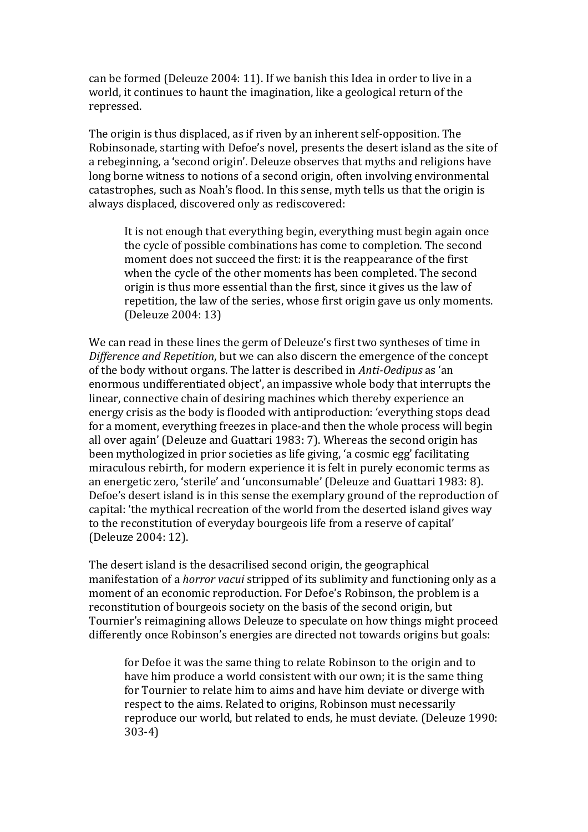can be formed (Deleuze 2004: 11). If we banish this Idea in order to live in a world, it continues to haunt the imagination, like a geological return of the repressed.

The origin is thus displaced, as if riven by an inherent self-opposition. The Robinsonade, starting with Defoe's novel, presents the desert island as the site of a rebeginning, a 'second origin'. Deleuze observes that myths and religions have long borne witness to notions of a second origin, often involving environmental catastrophes, such as Noah's flood. In this sense, myth tells us that the origin is always displaced, discovered only as rediscovered:

It is not enough that everything begin, everything must begin again once the cycle of possible combinations has come to completion. The second moment does not succeed the first: it is the reappearance of the first when the cycle of the other moments has been completed. The second origin is thus more essential than the first, since it gives us the law of repetition, the law of the series, whose first origin gave us only moments. (Deleuze 2004: 13)

We can read in these lines the germ of Deleuze's first two syntheses of time in *Difference and Repetition*, but we can also discern the emergence of the concept of the body without organs. The latter is described in *Anti-Oedipus* as 'an enormous undifferentiated object', an impassive whole body that interrupts the linear, connective chain of desiring machines which thereby experience an energy crisis as the body is flooded with antiproduction: 'everything stops dead for a moment, everything freezes in place-and then the whole process will begin all over again' (Deleuze and Guattari 1983: 7). Whereas the second origin has been mythologized in prior societies as life giving, 'a cosmic egg' facilitating miraculous rebirth, for modern experience it is felt in purely economic terms as an energetic zero, 'sterile' and 'unconsumable' (Deleuze and Guattari 1983: 8). Defoe's desert island is in this sense the exemplary ground of the reproduction of capital: 'the mythical recreation of the world from the deserted island gives way to the reconstitution of everyday bourgeois life from a reserve of capital' (Deleuze 2004: 12).

The desert island is the desacrilised second origin, the geographical manifestation of a *horror vacui* stripped of its sublimity and functioning only as a moment of an economic reproduction. For Defoe's Robinson, the problem is a reconstitution of bourgeois society on the basis of the second origin, but Tournier's reimagining allows Deleuze to speculate on how things might proceed differently once Robinson's energies are directed not towards origins but goals:

for Defoe it was the same thing to relate Robinson to the origin and to have him produce a world consistent with our own; it is the same thing for Tournier to relate him to aims and have him deviate or diverge with respect to the aims. Related to origins, Robinson must necessarily reproduce our world, but related to ends, he must deviate. (Deleuze 1990: 303-4)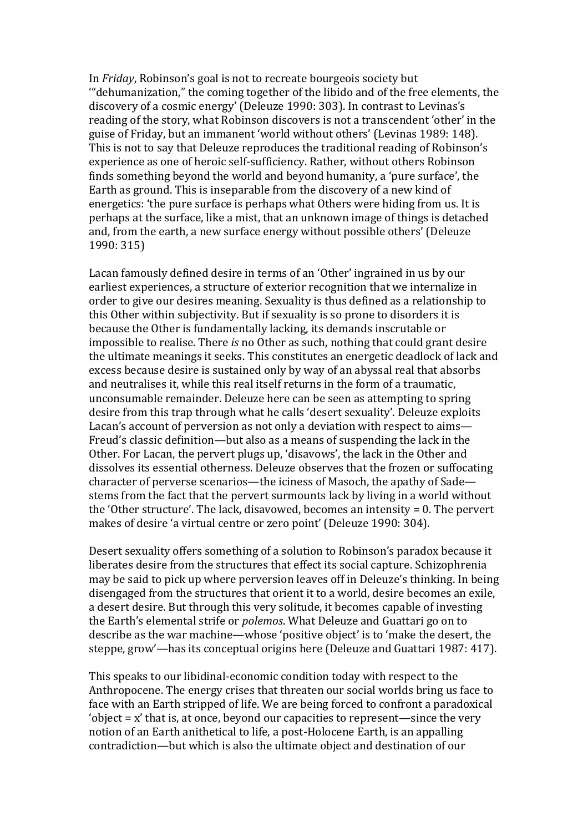In *Friday*, Robinson's goal is not to recreate bourgeois society but "dehumanization," the coming together of the libido and of the free elements, the discovery of a cosmic energy' (Deleuze 1990: 303). In contrast to Levinas's reading of the story, what Robinson discovers is not a transcendent 'other' in the guise of Friday, but an immanent 'world without others' (Levinas 1989: 148). This is not to say that Deleuze reproduces the traditional reading of Robinson's experience as one of heroic self-sufficiency. Rather, without others Robinson finds something beyond the world and beyond humanity, a 'pure surface', the Earth as ground. This is inseparable from the discovery of a new kind of energetics: 'the pure surface is perhaps what Others were hiding from us. It is perhaps at the surface, like a mist, that an unknown image of things is detached and, from the earth, a new surface energy without possible others' (Deleuze 1990: 315)

Lacan famously defined desire in terms of an 'Other' ingrained in us by our earliest experiences, a structure of exterior recognition that we internalize in order to give our desires meaning. Sexuality is thus defined as a relationship to this Other within subjectivity. But if sexuality is so prone to disorders it is because the Other is fundamentally lacking, its demands inscrutable or impossible to realise. There *is* no Other as such, nothing that could grant desire the ultimate meanings it seeks. This constitutes an energetic deadlock of lack and excess because desire is sustained only by way of an abyssal real that absorbs and neutralises it, while this real itself returns in the form of a traumatic, unconsumable remainder. Deleuze here can be seen as attempting to spring desire from this trap through what he calls 'desert sexuality'. Deleuze exploits Lacan's account of perversion as not only a deviation with respect to aims— Freud's classic definition—but also as a means of suspending the lack in the Other. For Lacan, the pervert plugs up, 'disavows', the lack in the Other and dissolves its essential otherness. Deleuze observes that the frozen or suffocating character of perverse scenarios—the iciness of Masoch, the apathy of Sade stems from the fact that the pervert surmounts lack by living in a world without the 'Other structure'. The lack, disavowed, becomes an intensity  $= 0$ . The pervert makes of desire 'a virtual centre or zero point' (Deleuze 1990: 304).

Desert sexuality offers something of a solution to Robinson's paradox because it liberates desire from the structures that effect its social capture. Schizophrenia may be said to pick up where perversion leaves off in Deleuze's thinking. In being disengaged from the structures that orient it to a world, desire becomes an exile, a desert desire. But through this very solitude, it becomes capable of investing the Earthǯs elemental strife or *polemos*. What Deleuze and Guattari go on to describe as the war machine—whose 'positive object' is to 'make the desert, the steppe, grow'—has its conceptual origins here (Deleuze and Guattari 1987: 417).

This speaks to our libidinal-economic condition today with respect to the Anthropocene. The energy crises that threaten our social worlds bring us face to face with an Earth stripped of life. We are being forced to confront a paradoxical 'object  $= x'$  that is, at once, beyond our capacities to represent—since the very notion of an Earth anithetical to life, a post-Holocene Earth, is an appalling contradiction—but which is also the ultimate object and destination of our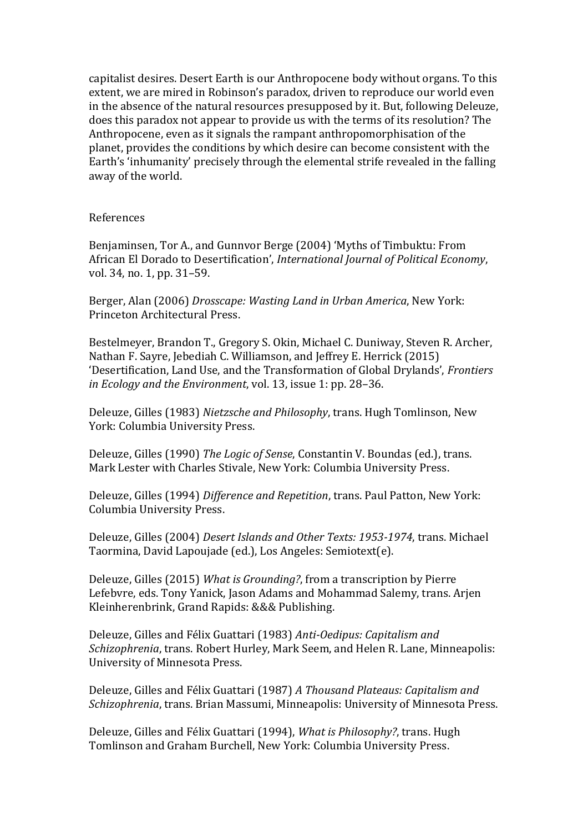capitalist desires. Desert Earth is our Anthropocene body without organs. To this extent, we are mired in Robinson's paradox, driven to reproduce our world even in the absence of the natural resources presupposed by it. But, following Deleuze, does this paradox not appear to provide us with the terms of its resolution? The Anthropocene, even as it signals the rampant anthropomorphisation of the planet, provides the conditions by which desire can become consistent with the Earth's 'inhumanity' precisely through the elemental strife revealed in the falling away of the world.

#### References

Benjaminsen, Tor A., and Gunnyor Berge (2004) 'Myths of Timbuktu: From African El Dorado to Desertificationǯ, *International Journal of Political Economy*, vol. 34, no. 1, pp. 31–59.

Berger, Alan (2006) *Drosscape: Wasting Land in Urban America*, New York: Princeton Architectural Press.

Bestelmeyer, Brandon T., Gregory S. Okin, Michael C. Duniway, Steven R. Archer, Nathan F. Sayre, Jebediah C. Williamson, and Jeffrey E. Herrick (2015) ǮDesertification, Land Use, and the Transformation of Global Drylandsǯ, *Frontiers in Ecology and the Environment*, vol. 13, issue 1: pp. 28–36.

Deleuze, Gilles (1983) *Nietzsche and Philosophy*, trans. Hugh Tomlinson, New York: Columbia University Press.

Deleuze, Gilles (1990) *The Logic of Sense*, Constantin V. Boundas (ed.), trans. Mark Lester with Charles Stivale, New York: Columbia University Press.

Deleuze, Gilles (1994) *Difference and Repetition*, trans. Paul Patton, New York: Columbia University Press.

Deleuze, Gilles (2004) *Desert Islands and Other Texts: 1953-1974*, trans. Michael Taormina, David Lapoujade (ed.), Los Angeles: Semiotext(e).

Deleuze, Gilles (2015) *What is Grounding?*, from a transcription by Pierre Lefebvre, eds. Tony Yanick, Jason Adams and Mohammad Salemy, trans. Arjen Kleinherenbrink, Grand Rapids: &&& Publishing.

Deleuze, Gilles and Félix Guattari (1983) *Anti-Oedipus: Capitalism and Schizophrenia*, trans. Robert Hurley, Mark Seem, and Helen R. Lane, Minneapolis: University of Minnesota Press.

Deleuze, Gilles and Félix Guattari (1987) *A Thousand Plateaus: Capitalism and Schizophrenia*, trans. Brian Massumi, Minneapolis: University of Minnesota Press.

Deleuze, Gilles and Félix Guattari (1994), *What is Philosophy?*, trans. Hugh Tomlinson and Graham Burchell, New York: Columbia University Press.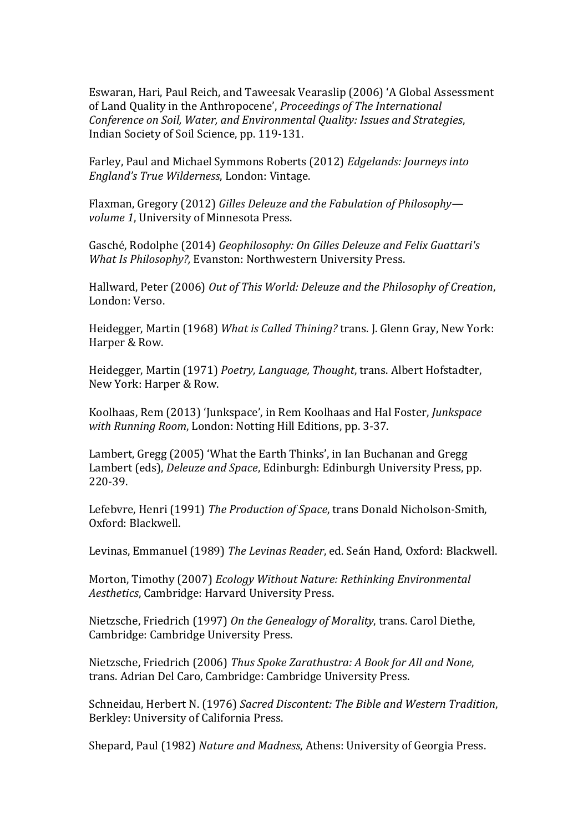Eswaran, Hari, Paul Reich, and Taweesak Vearaslip (2006) 'A Global Assessment of Land Quality in the Anthropoceneǯ, *Proceedings of The International Conference on Soil, Water, and Environmental Quality: Issues and Strategies*, Indian Society of Soil Science, pp. 119-131.

Farley, Paul and Michael Symmons Roberts (2012) *Edgelands: Journeys into England's True Wilderness*, London: Vintage.

Flaxman, Gregory (2012) *Gilles Deleuze and the Fabulation of Philosophy volume 1*, University of Minnesota Press.

Gasché, Rodolphe (2014) *Geophilosophy: On Gilles Deleuze and Felix Guattari's What Is Philosophy?,* Evanston: Northwestern University Press.

Hallward, Peter (2006) *Out of This World: Deleuze and the Philosophy of Creation*, London: Verso.

Heidegger, Martin (1968) *What is Called Thining?* trans. J. Glenn Gray, New York: Harper & Row.

Heidegger, Martin (1971) *Poetry, Language, Thought*, trans. Albert Hofstadter, New York: Harper & Row.

Koolhaas, Rem (2013) 'Junkspace', in Rem Koolhaas and Hal Foster, *Junkspace with Running Room*, London: Notting Hill Editions, pp. 3-37.

Lambert, Gregg (2005) 'What the Earth Thinks', in Ian Buchanan and Gregg Lambert (eds), *Deleuze and Space*, Edinburgh: Edinburgh University Press, pp. 220-39.

Lefebvre, Henri (1991) *The Production of Space*, trans Donald Nicholson-Smith, Oxford: Blackwell.

Levinas, Emmanuel (1989) *The Levinas Reader*, ed. Seán Hand, Oxford: Blackwell.

Morton, Timothy (2007) *Ecology Without Nature: Rethinking Environmental Aesthetics*, Cambridge: Harvard University Press.

Nietzsche, Friedrich (1997) *On the Genealogy of Morality*, trans. Carol Diethe, Cambridge: Cambridge University Press.

Nietzsche, Friedrich (2006) *Thus Spoke Zarathustra: A Book for All and None*, trans. Adrian Del Caro, Cambridge: Cambridge University Press.

Schneidau, Herbert N. (1976) *Sacred Discontent: The Bible and Western Tradition*, Berkley: University of California Press.

Shepard, Paul (1982) *Nature and Madness*, Athens: University of Georgia Press.